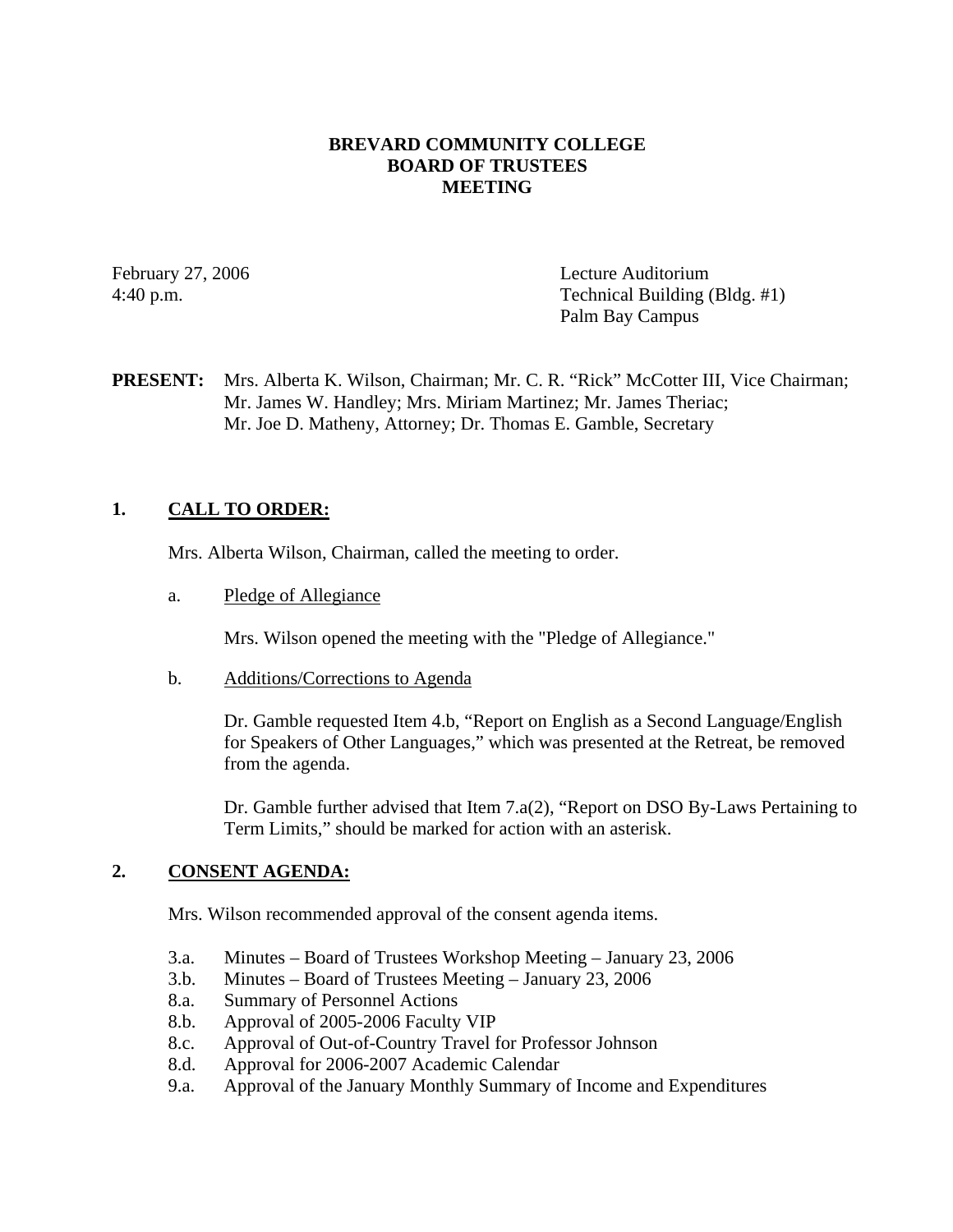### **BREVARD COMMUNITY COLLEGE BOARD OF TRUSTEES MEETING**

February 27, 2006 Lecture Auditorium 4:40 p.m. Technical Building (Bldg. #1) Palm Bay Campus

### **PRESENT:** Mrs. Alberta K. Wilson, Chairman; Mr. C. R. "Rick" McCotter III, Vice Chairman; Mr. James W. Handley; Mrs. Miriam Martinez; Mr. James Theriac; Mr. Joe D. Matheny, Attorney; Dr. Thomas E. Gamble, Secretary

### **1. CALL TO ORDER:**

Mrs. Alberta Wilson, Chairman, called the meeting to order.

a. Pledge of Allegiance

Mrs. Wilson opened the meeting with the "Pledge of Allegiance."

b. Additions/Corrections to Agenda

Dr. Gamble requested Item 4.b, "Report on English as a Second Language/English for Speakers of Other Languages," which was presented at the Retreat, be removed from the agenda.

Dr. Gamble further advised that Item  $7.a(2)$ , "Report on DSO By-Laws Pertaining to Term Limits," should be marked for action with an asterisk.

### **2. CONSENT AGENDA:**

Mrs. Wilson recommended approval of the consent agenda items.

- 3.a. Minutes Board of Trustees Workshop Meeting January 23, 2006
- 3.b. Minutes Board of Trustees Meeting January 23, 2006
- 8.a. Summary of Personnel Actions
- 8.b. Approval of 2005-2006 Faculty VIP
- 8.c. Approval of Out-of-Country Travel for Professor Johnson
- 8.d. Approval for 2006-2007 Academic Calendar
- 9.a. Approval of the January Monthly Summary of Income and Expenditures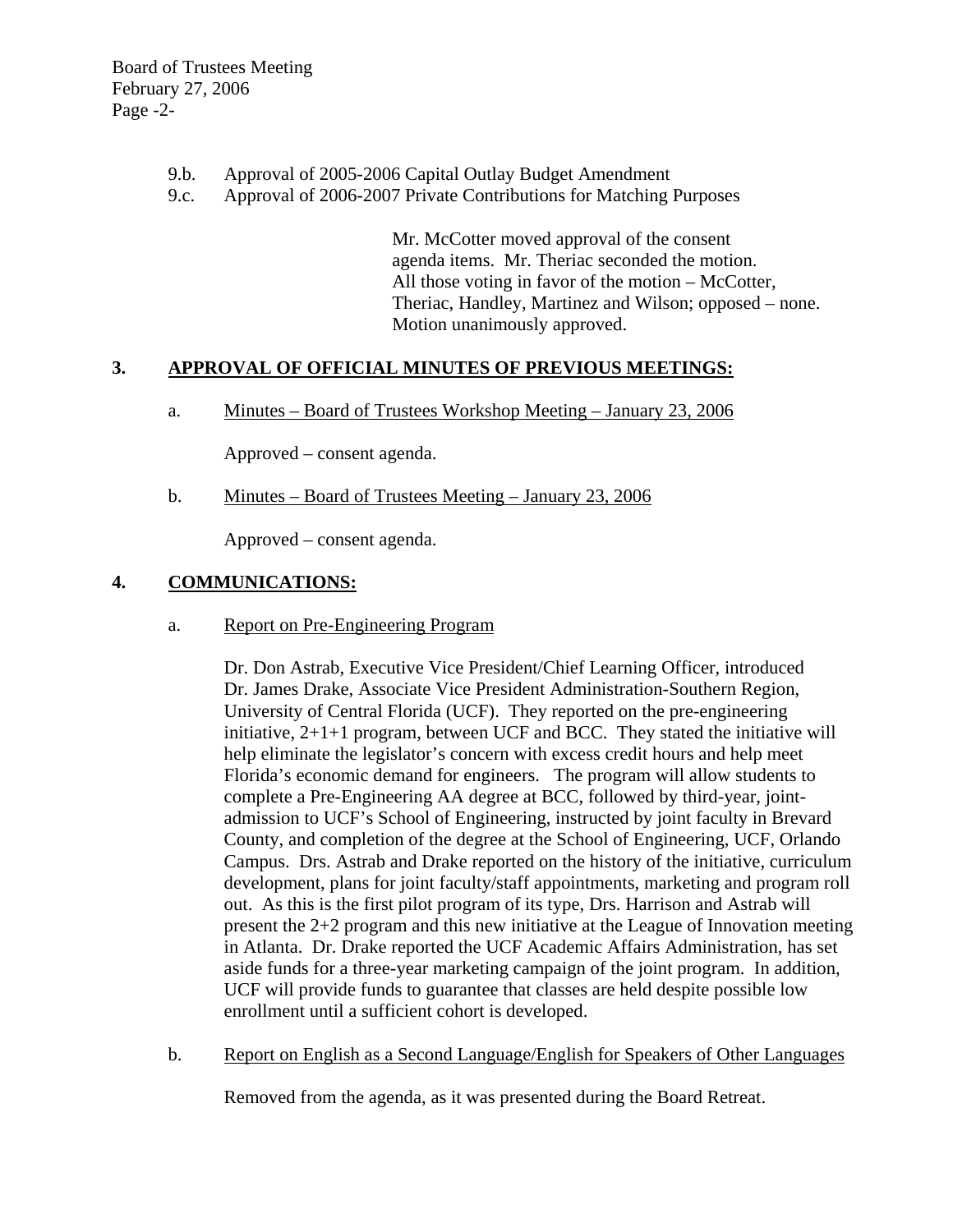- 9.b. Approval of 2005-2006 Capital Outlay Budget Amendment
- 9.c. Approval of 2006-2007 Private Contributions for Matching Purposes

Mr. McCotter moved approval of the consent agenda items. Mr. Theriac seconded the motion. All those voting in favor of the motion – McCotter, Theriac, Handley, Martinez and Wilson; opposed – none. Motion unanimously approved.

## **3. APPROVAL OF OFFICIAL MINUTES OF PREVIOUS MEETINGS:**

a. Minutes – Board of Trustees Workshop Meeting – January 23, 2006

Approved – consent agenda.

b. Minutes – Board of Trustees Meeting – January 23, 2006

Approved – consent agenda.

### **4. COMMUNICATIONS:**

a. Report on Pre-Engineering Program

 Dr. Don Astrab, Executive Vice President/Chief Learning Officer, introduced Dr. James Drake, Associate Vice President Administration-Southern Region, University of Central Florida (UCF). They reported on the pre-engineering initiative, 2+1+1 program, between UCF and BCC. They stated the initiative will help eliminate the legislator's concern with excess credit hours and help meet Florida's economic demand for engineers. The program will allow students to complete a Pre-Engineering AA degree at BCC, followed by third-year, jointadmission to UCF's School of Engineering, instructed by joint faculty in Brevard County, and completion of the degree at the School of Engineering, UCF, Orlando Campus. Drs. Astrab and Drake reported on the history of the initiative, curriculum development, plans for joint faculty/staff appointments, marketing and program roll out. As this is the first pilot program of its type, Drs. Harrison and Astrab will present the 2+2 program and this new initiative at the League of Innovation meeting in Atlanta. Dr. Drake reported the UCF Academic Affairs Administration, has set aside funds for a three-year marketing campaign of the joint program. In addition, UCF will provide funds to guarantee that classes are held despite possible low enrollment until a sufficient cohort is developed.

b. Report on English as a Second Language/English for Speakers of Other Languages

Removed from the agenda, as it was presented during the Board Retreat.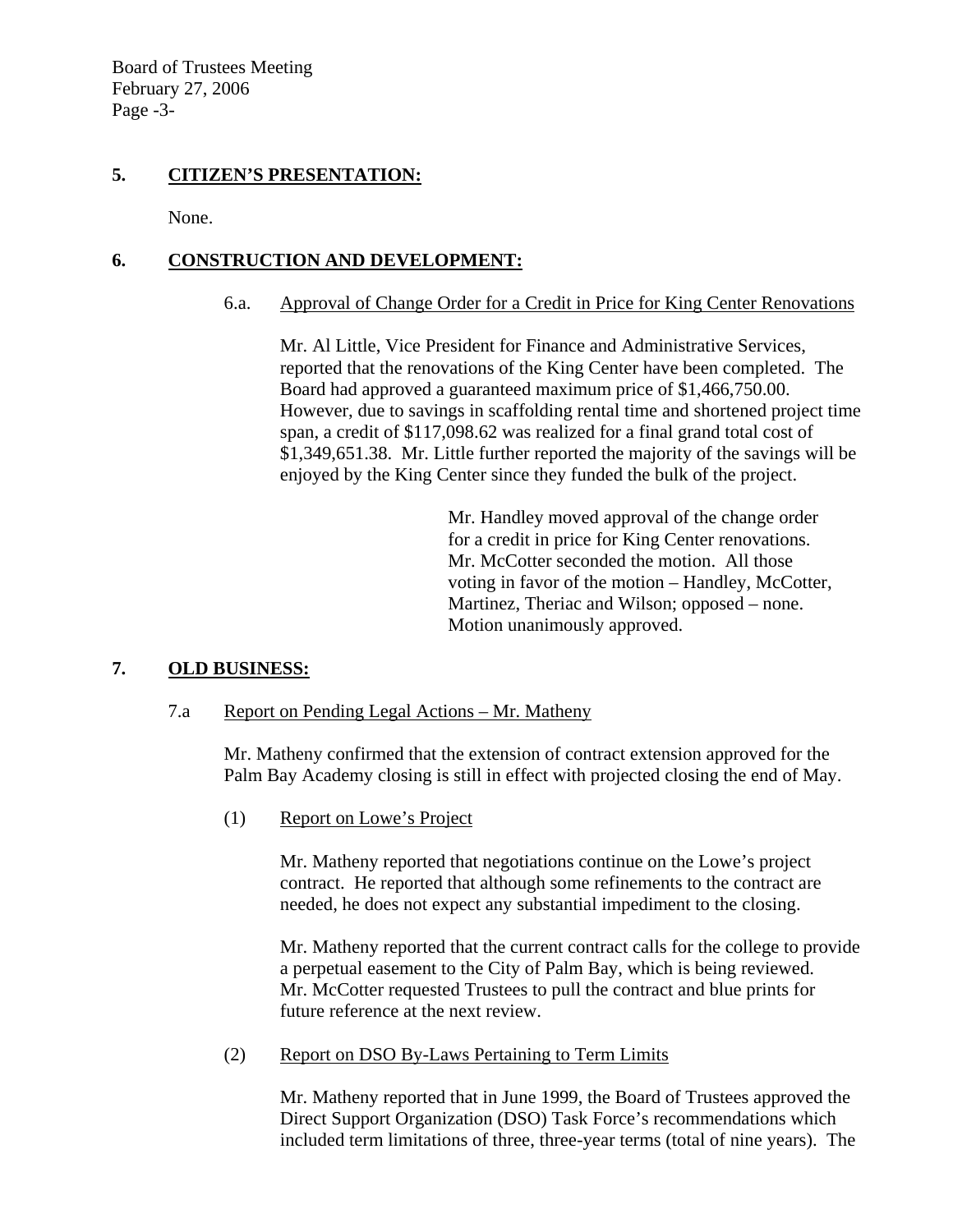### **5. CITIZEN'S PRESENTATION:**

None.

# **6. CONSTRUCTION AND DEVELOPMENT:**

### 6.a. Approval of Change Order for a Credit in Price for King Center Renovations

Mr. Al Little, Vice President for Finance and Administrative Services, reported that the renovations of the King Center have been completed. The Board had approved a guaranteed maximum price of \$1,466,750.00. However, due to savings in scaffolding rental time and shortened project time span, a credit of \$117,098.62 was realized for a final grand total cost of \$1,349,651.38. Mr. Little further reported the majority of the savings will be enjoyed by the King Center since they funded the bulk of the project.

> Mr. Handley moved approval of the change order for a credit in price for King Center renovations. Mr. McCotter seconded the motion. All those voting in favor of the motion – Handley, McCotter, Martinez, Theriac and Wilson; opposed – none. Motion unanimously approved.

## **7. OLD BUSINESS:**

### 7.a Report on Pending Legal Actions – Mr. Matheny

Mr. Matheny confirmed that the extension of contract extension approved for the Palm Bay Academy closing is still in effect with projected closing the end of May.

(1) Report on Lowe's Project

Mr. Matheny reported that negotiations continue on the Lowe's project contract. He reported that although some refinements to the contract are needed, he does not expect any substantial impediment to the closing.

Mr. Matheny reported that the current contract calls for the college to provide a perpetual easement to the City of Palm Bay, which is being reviewed. Mr. McCotter requested Trustees to pull the contract and blue prints for future reference at the next review.

(2) Report on DSO By-Laws Pertaining to Term Limits

Mr. Matheny reported that in June 1999, the Board of Trustees approved the Direct Support Organization (DSO) Task Force's recommendations which included term limitations of three, three-year terms (total of nine years). The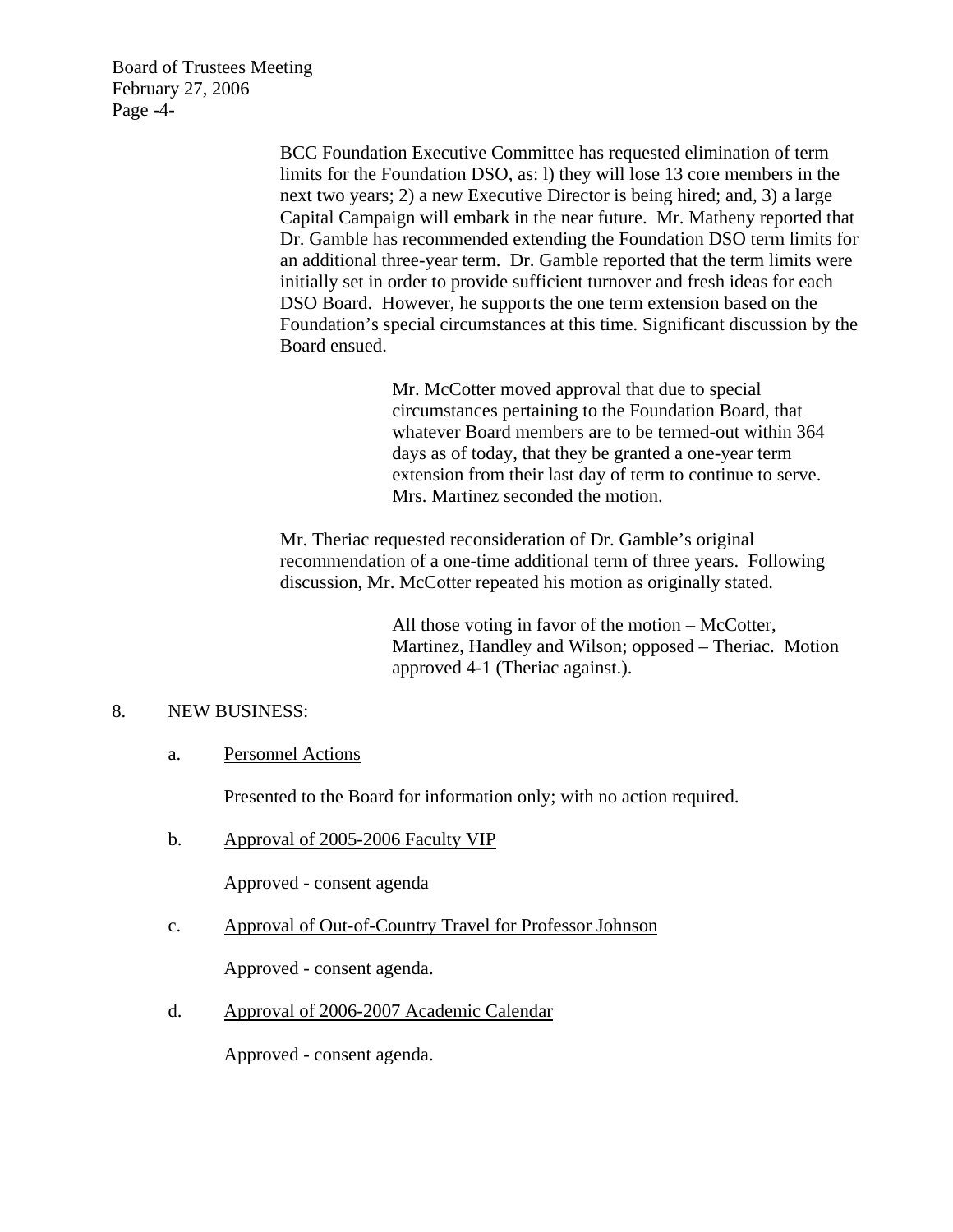Board of Trustees Meeting February 27, 2006 Page -4-

> BCC Foundation Executive Committee has requested elimination of term limits for the Foundation DSO, as: l) they will lose 13 core members in the next two years; 2) a new Executive Director is being hired; and, 3) a large Capital Campaign will embark in the near future. Mr. Matheny reported that Dr. Gamble has recommended extending the Foundation DSO term limits for an additional three-year term. Dr. Gamble reported that the term limits were initially set in order to provide sufficient turnover and fresh ideas for each DSO Board. However, he supports the one term extension based on the Foundation's special circumstances at this time. Significant discussion by the Board ensued.

> > Mr. McCotter moved approval that due to special circumstances pertaining to the Foundation Board, that whatever Board members are to be termed-out within 364 days as of today, that they be granted a one-year term extension from their last day of term to continue to serve. Mrs. Martinez seconded the motion.

Mr. Theriac requested reconsideration of Dr. Gamble's original recommendation of a one-time additional term of three years. Following discussion, Mr. McCotter repeated his motion as originally stated.

> All those voting in favor of the motion – McCotter, Martinez, Handley and Wilson; opposed – Theriac. Motion approved 4-1 (Theriac against.).

### 8. NEW BUSINESS:

a. Personnel Actions

Presented to the Board for information only; with no action required.

b. Approval of 2005-2006 Faculty VIP

Approved - consent agenda

c. Approval of Out-of-Country Travel for Professor Johnson

Approved - consent agenda.

d. Approval of 2006-2007 Academic Calendar

Approved - consent agenda.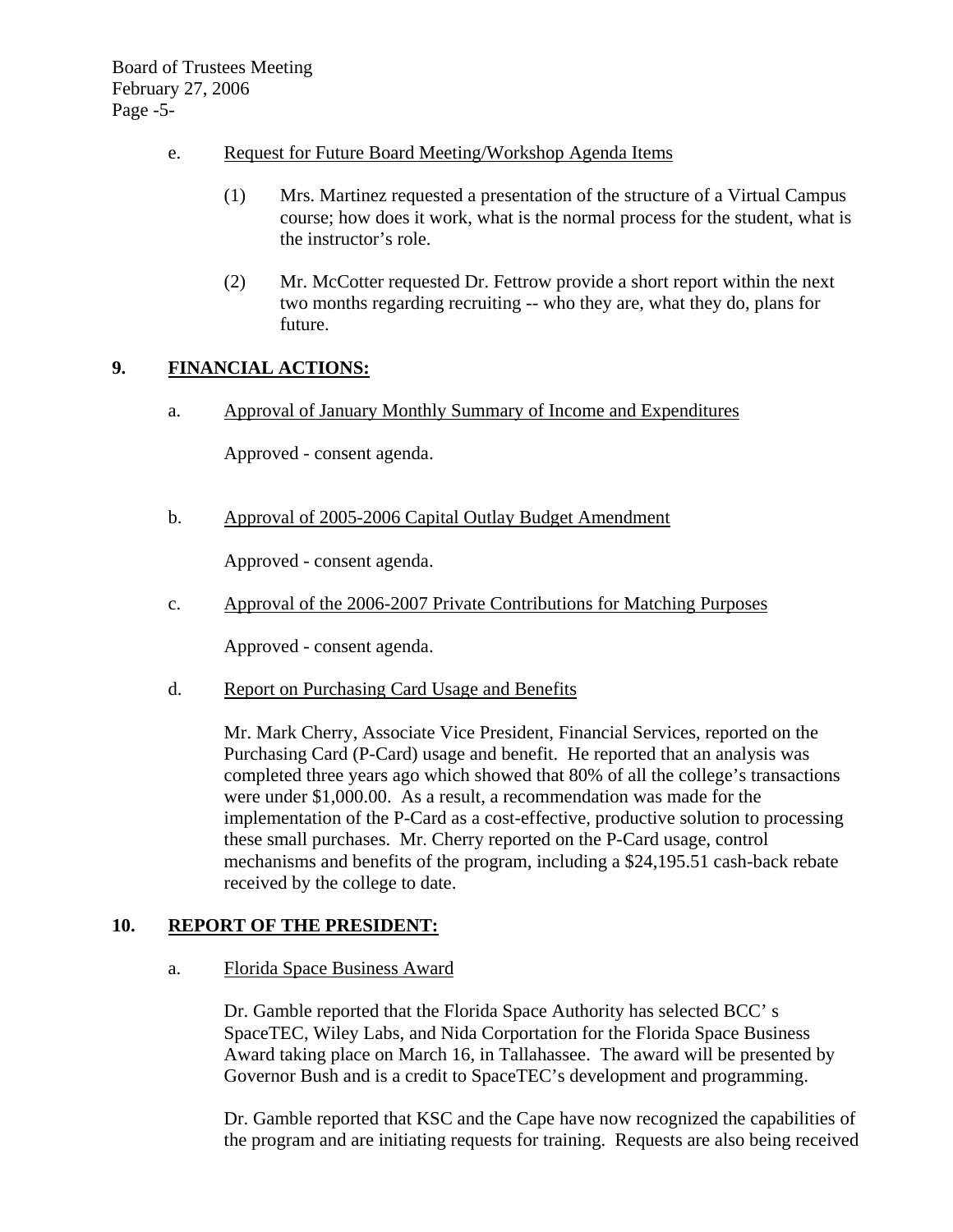- e. Request for Future Board Meeting/Workshop Agenda Items
	- (1) Mrs. Martinez requested a presentation of the structure of a Virtual Campus course; how does it work, what is the normal process for the student, what is the instructor's role.
	- (2) Mr. McCotter requested Dr. Fettrow provide a short report within the next two months regarding recruiting -- who they are, what they do, plans for future.

# **9. FINANCIAL ACTIONS:**

a. Approval of January Monthly Summary of Income and Expenditures

Approved - consent agenda.

b. Approval of 2005-2006 Capital Outlay Budget Amendment

Approved - consent agenda.

c. Approval of the 2006-2007 Private Contributions for Matching Purposes

Approved - consent agenda.

d. Report on Purchasing Card Usage and Benefits

Mr. Mark Cherry, Associate Vice President, Financial Services, reported on the Purchasing Card (P-Card) usage and benefit. He reported that an analysis was completed three years ago which showed that 80% of all the college's transactions were under \$1,000.00. As a result, a recommendation was made for the implementation of the P-Card as a cost-effective, productive solution to processing these small purchases. Mr. Cherry reported on the P-Card usage, control mechanisms and benefits of the program, including a \$24,195.51 cash-back rebate received by the college to date.

### **10. REPORT OF THE PRESIDENT:**

a. Florida Space Business Award

Dr. Gamble reported that the Florida Space Authority has selected BCC' s SpaceTEC, Wiley Labs, and Nida Corportation for the Florida Space Business Award taking place on March 16, in Tallahassee. The award will be presented by Governor Bush and is a credit to SpaceTEC's development and programming.

Dr. Gamble reported that KSC and the Cape have now recognized the capabilities of the program and are initiating requests for training. Requests are also being received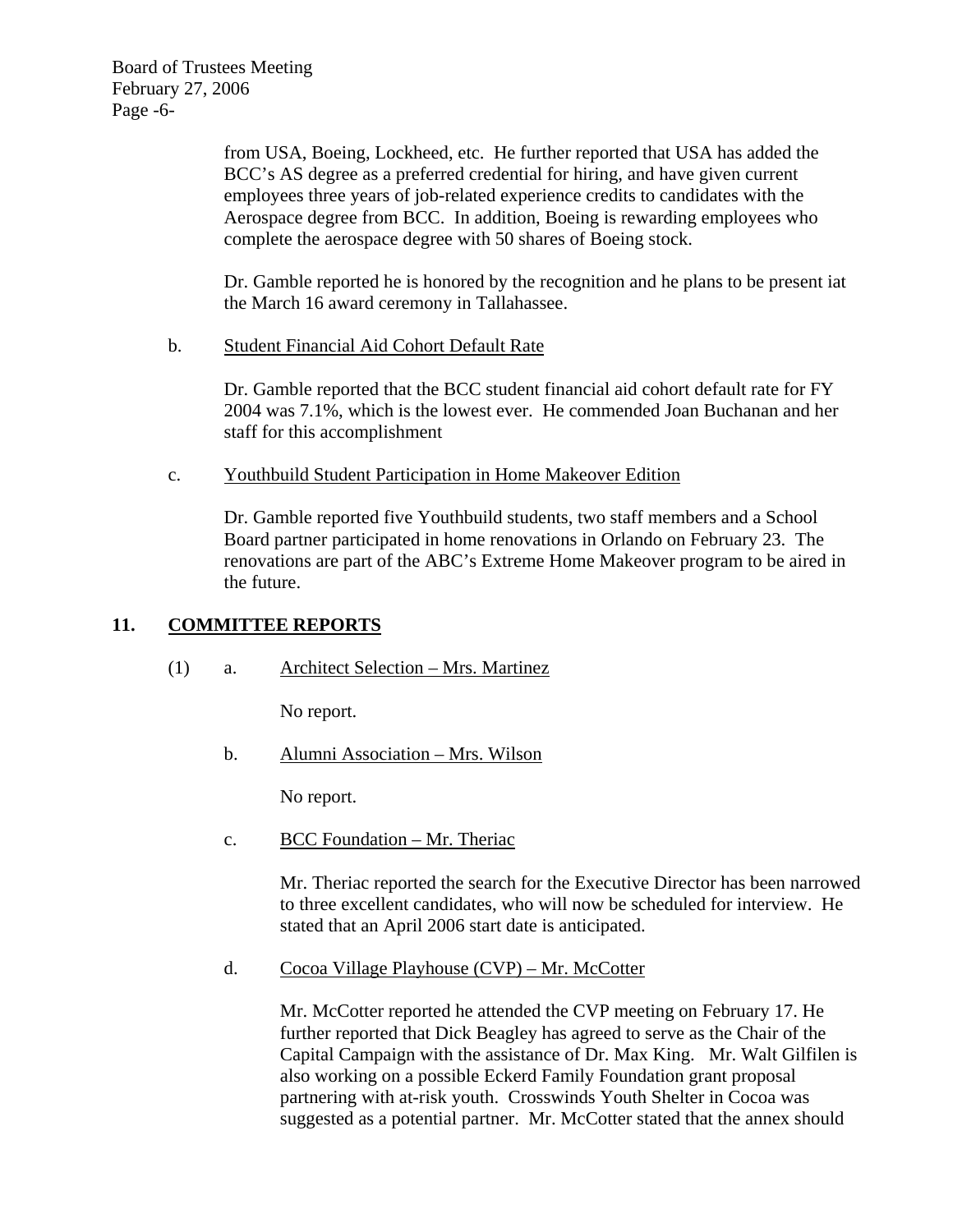Board of Trustees Meeting February 27, 2006 Page -6-

> from USA, Boeing, Lockheed, etc. He further reported that USA has added the BCC's AS degree as a preferred credential for hiring, and have given current employees three years of job-related experience credits to candidates with the Aerospace degree from BCC. In addition, Boeing is rewarding employees who complete the aerospace degree with 50 shares of Boeing stock.

Dr. Gamble reported he is honored by the recognition and he plans to be present iat the March 16 award ceremony in Tallahassee.

b. Student Financial Aid Cohort Default Rate

Dr. Gamble reported that the BCC student financial aid cohort default rate for FY 2004 was 7.1%, which is the lowest ever. He commended Joan Buchanan and her staff for this accomplishment

c. Youthbuild Student Participation in Home Makeover Edition

Dr. Gamble reported five Youthbuild students, two staff members and a School Board partner participated in home renovations in Orlando on February 23. The renovations are part of the ABC's Extreme Home Makeover program to be aired in the future.

## **11. COMMITTEE REPORTS**

## (1) a. Architect Selection – Mrs. Martinez

No report.

b. Alumni Association – Mrs. Wilson

No report.

c. BCC Foundation – Mr. Theriac

Mr. Theriac reported the search for the Executive Director has been narrowed to three excellent candidates, who will now be scheduled for interview. He stated that an April 2006 start date is anticipated.

d. Cocoa Village Playhouse (CVP) – Mr. McCotter

Mr. McCotter reported he attended the CVP meeting on February 17. He further reported that Dick Beagley has agreed to serve as the Chair of the Capital Campaign with the assistance of Dr. Max King. Mr. Walt Gilfilen is also working on a possible Eckerd Family Foundation grant proposal partnering with at-risk youth. Crosswinds Youth Shelter in Cocoa was suggested as a potential partner. Mr. McCotter stated that the annex should